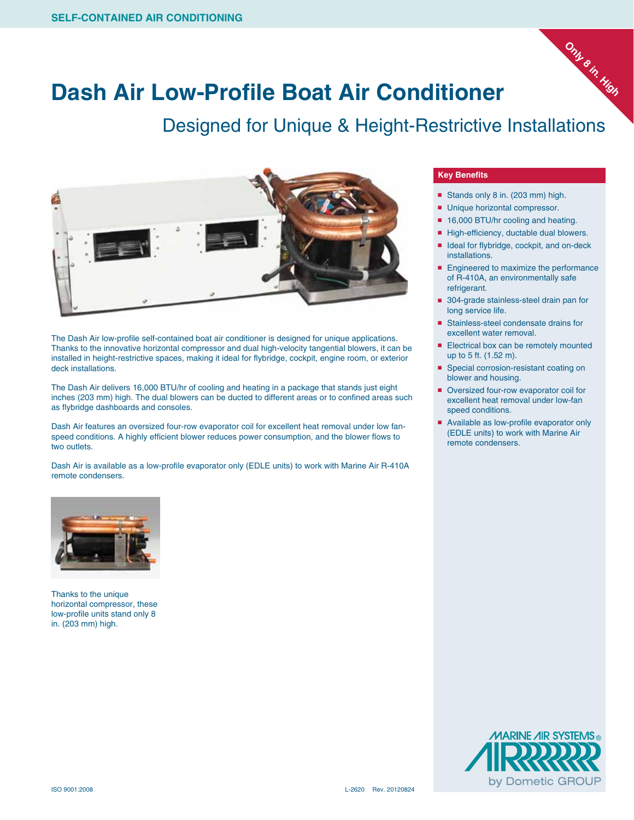

## **Dash Air Low-Profile Boat Air Conditioner**

Designed for Unique & Height-Restrictive Installations



The Dash Air low-profile self-contained boat air conditioner is designed for unique applications. Thanks to the innovative horizontal compressor and dual high-velocity tangential blowers, it can be installed in height-restrictive spaces, making it ideal for flybridge, cockpit, engine room, or exterior deck installations.

The Dash Air delivers 16,000 BTU/hr of cooling and heating in a package that stands just eight inches (203 mm) high. The dual blowers can be ducted to different areas or to confined areas such as flybridge dashboards and consoles.

Dash Air features an oversized four-row evaporator coil for excellent heat removal under low fanspeed conditions. A highly efficient blower reduces power consumption, and the blower flows to two outlets.

Dash Air is available as a low-profile evaporator only (EDLE units) to work with Marine Air R-410A remote condensers.



Thanks to the unique horizontal compressor, these low-profile units stand only 8 in. (203 mm) high.

## **Key Benefits**

- Stands only 8 in. (203 mm) high.
- Unique horizontal compressor.
- 16,000 BTU/hr cooling and heating.
- High-efficiency, ductable dual blowers.
- Ideal for flybridge, cockpit, and on-deck installations.
- Engineered to maximize the performance of R-410A, an environmentally safe refrigerant.
- 304-grade stainless-steel drain pan for long service life.
- Stainless-steel condensate drains for excellent water removal.
- Electrical box can be remotely mounted up to 5 ft. (1.52 m).
- Special corrosion-resistant coating on blower and housing.
- Oversized four-row evaporator coil for excellent heat removal under low-fan speed conditions.
- Available as low-profile evaporator only (EDLE units) to work with Marine Air remote condensers.